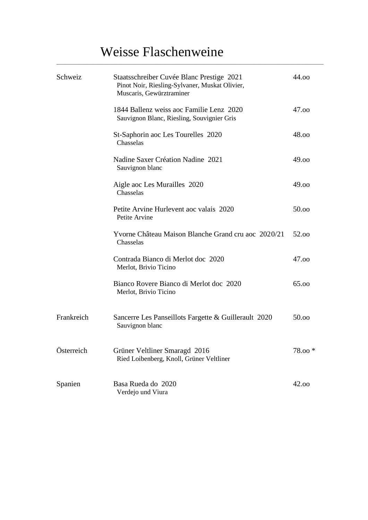# Weisse Flaschenweine

\_\_\_\_\_\_\_\_\_\_\_\_\_\_\_\_\_\_\_\_\_\_\_\_\_\_\_\_\_\_\_\_\_\_\_\_\_\_\_\_\_\_\_\_\_\_\_\_\_\_\_\_\_\_\_\_\_\_\_\_\_\_\_\_\_\_\_\_\_\_\_\_\_\_\_\_\_\_\_\_\_\_\_\_\_\_\_\_\_\_\_\_\_\_\_\_\_\_\_\_\_\_\_\_\_\_\_\_

| Schweiz    | Staatsschreiber Cuvée Blanc Prestige 2021<br>Pinot Noir, Riesling-Sylvaner, Muskat Olivier,<br>Muscaris, Gewürztraminer | 44.00    |
|------------|-------------------------------------------------------------------------------------------------------------------------|----------|
|            | 1844 Ballenz weiss aoc Familie Lenz 2020<br>Sauvignon Blanc, Riesling, Souvignier Gris                                  | 47.00    |
|            | St-Saphorin aoc Les Tourelles 2020<br>Chasselas                                                                         | 48.00    |
|            | Nadine Saxer Création Nadine 2021<br>Sauvignon blanc                                                                    | 49.00    |
|            | Aigle aoc Les Murailles 2020<br>Chasselas                                                                               | 49.00    |
|            | Petite Arvine Hurlevent aoc valais 2020<br>Petite Arvine                                                                | 50.00    |
|            | Yvorne Château Maison Blanche Grand cru aoc 2020/21<br>Chasselas                                                        | 52.00    |
|            | Contrada Bianco di Merlot doc 2020<br>Merlot, Brivio Ticino                                                             | 47.00    |
|            | Bianco Rovere Bianco di Merlot doc 2020<br>Merlot, Brivio Ticino                                                        | 65.00    |
| Frankreich | Sancerre Les Panseillots Fargette & Guillerault 2020<br>Sauvignon blanc                                                 | 50.00    |
| Österreich | Grüner Veltliner Smaragd 2016<br>Ried Loibenberg, Knoll, Grüner Veltliner                                               | $78.00*$ |
| Spanien    | Basa Rueda do 2020<br>Verdejo und Viura                                                                                 | 42.00    |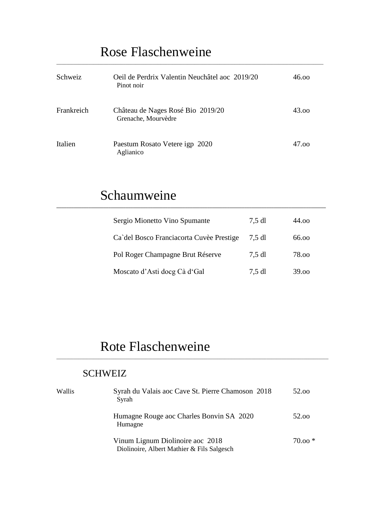# Rose Flaschenweine

| Schweiz    | Oeil de Perdrix Valentin Neuchâtel aoc 2019/20<br>Pinot noir | 46.00 |
|------------|--------------------------------------------------------------|-------|
| Frankreich | Château de Nages Rosé Bio 2019/20<br>Grenache, Mourvèdre     | 43.00 |
| Italien    | Paestum Rosato Vetere igp 2020<br>Aglianico                  | 47.00 |

**\_\_\_\_\_\_\_\_\_\_\_\_\_\_\_\_\_\_\_\_\_\_\_\_\_\_\_\_\_\_\_\_\_\_\_\_\_\_\_\_\_\_\_\_\_\_\_\_\_\_\_\_\_\_\_\_\_\_\_\_\_\_\_\_\_\_\_\_\_\_\_\_\_\_\_\_\_\_\_\_\_\_\_\_\_\_\_\_\_\_\_\_\_\_\_\_\_\_\_\_\_\_\_\_\_\_\_\_\_**

\_\_\_\_\_\_\_\_\_\_\_\_\_\_\_\_\_\_\_\_\_\_\_\_\_\_\_\_\_\_\_\_\_\_\_\_\_\_\_\_\_\_\_\_\_\_\_\_\_\_\_\_\_\_\_\_\_\_\_\_\_\_\_\_\_\_\_\_\_\_\_\_\_\_\_\_\_\_\_\_\_\_\_\_\_\_\_\_\_\_\_\_\_\_\_\_\_\_\_\_\_\_\_\_\_\_\_\_

## Schaumweine

| Sergio Mionetto Vino Spumante            | $7,5$ dl | 44.00 |
|------------------------------------------|----------|-------|
| Ca'del Bosco Franciacorta Cuvèe Prestige | 7.5 dl   | 66.00 |
| Pol Roger Champagne Brut Réserve         | 7,5 dl   | 78.00 |
| Moscato d'Asti doeg Cà d'Gal             | $7,5$ dl | 39.00 |

# Rote Flaschenweine

### **SCHWEIZ**

| Wallis | Syrah du Valais aoc Cave St. Pierre Chamoson 2018<br>Syrah                     | 52.00    |
|--------|--------------------------------------------------------------------------------|----------|
|        | Humagne Rouge aoc Charles Bonvin SA 2020<br>Humagne                            | 52.00    |
|        | Vinum Lignum Diolinoire aoc 2018<br>Diolinoire, Albert Mathier & Fils Salgesch | $70.00*$ |

\_\_\_\_\_\_\_\_\_\_\_\_\_\_\_\_\_\_\_\_\_\_\_\_\_\_\_\_\_\_\_\_\_\_\_\_\_\_\_\_\_\_\_\_\_\_\_\_\_\_\_\_\_\_\_\_\_\_\_\_\_\_\_\_\_\_\_\_\_\_\_\_\_\_\_\_\_\_\_\_\_\_\_\_\_\_\_\_\_\_\_\_\_\_\_\_\_\_\_\_\_\_\_\_\_\_\_\_\_\_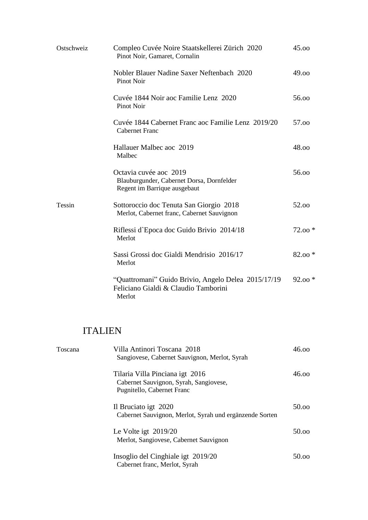| Ostschweiz | Compleo Cuvée Noire Staatskellerei Zürich 2020<br>Pinot Noir, Gamaret, Cornalin                       | 45.00    |
|------------|-------------------------------------------------------------------------------------------------------|----------|
|            | Nobler Blauer Nadine Saxer Neftenbach 2020<br><b>Pinot Noir</b>                                       | 49.00    |
|            | Cuvée 1844 Noir aoc Familie Lenz 2020<br><b>Pinot Noir</b>                                            | 56.00    |
|            | Cuvée 1844 Cabernet Franc aoc Familie Lenz 2019/20<br><b>Cabernet Franc</b>                           | 57.00    |
|            | Hallauer Malbec aoc 2019<br>Malbec                                                                    | 48.00    |
|            | Octavia cuvée aoc 2019<br>Blauburgunder, Cabernet Dorsa, Dornfelder<br>Regent im Barrique ausgebaut   | 56.00    |
| Tessin     | Sottoroccio doc Tenuta San Giorgio 2018<br>Merlot, Cabernet franc, Cabernet Sauvignon                 | 52.00    |
|            | Riflessi d'Epoca doc Guido Brivio 2014/18<br>Merlot                                                   | $72.00*$ |
|            | Sassi Grossi doc Gialdi Mendrisio 2016/17<br>Merlot                                                   | $82.00*$ |
|            | "Quattromani" Guido Brivio, Angelo Delea 2015/17/19<br>Feliciano Gialdi & Claudio Tamborini<br>Merlot | $92.00*$ |

### ITALIEN

| Toscana | Villa Antinori Toscana 2018<br>Sangiovese, Cabernet Sauvignon, Merlot, Syrah                            | 46.00 |
|---------|---------------------------------------------------------------------------------------------------------|-------|
|         | Tilaria Villa Pinciana igt 2016<br>Cabernet Sauvignon, Syrah, Sangiovese,<br>Pugnitello, Cabernet Franc | 46.00 |
|         | Il Bruciato igt 2020<br>Cabernet Sauvignon, Merlot, Syrah und ergänzende Sorten                         | 50.00 |
|         | Le Volte igt $2019/20$<br>Merlot, Sangiovese, Cabernet Sauvignon                                        | 50.00 |
|         | Insoglio del Cinghiale igt 2019/20<br>Cabernet franc, Merlot, Syrah                                     | 50.00 |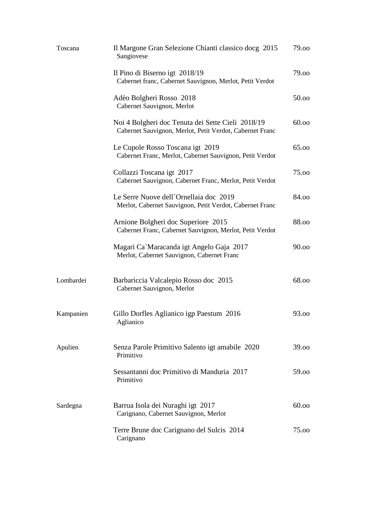| Toscana   | Il Margone Gran Selezione Chianti classico docg 2015<br>Sangiovese                                            | 79.00 |
|-----------|---------------------------------------------------------------------------------------------------------------|-------|
|           | Il Pino di Biserno igt 2018/19<br>Cabernet franc, Cabernet Sauvignon, Merlot, Petit Verdot                    | 79.00 |
|           | Adèo Bolgheri Rosso 2018<br>Cabernet Sauvignon, Merlot                                                        | 50.00 |
|           | Noi 4 Bolgheri doc Tenuta dei Sette Cieli 2018/19<br>Cabernet Sauvignon, Merlot, Petit Verdot, Cabernet Franc | 60.00 |
|           | Le Cupole Rosso Toscana igt 2019<br>Cabernet Franc, Merlot, Cabernet Sauvignon, Petit Verdot                  | 65.00 |
|           | Collazzi Toscana igt 2017<br>Cabernet Sauvignon, Cabernet Franc, Merlot, Petit Verdot                         | 75.00 |
|           | Le Serre Nuove dell'Ornellaia doc 2019<br>Merlot, Cabernet Sauvignon, Petit Verdot, Cabernet Franc            | 84.00 |
|           | Arnione Bolgheri doc Superiore 2015<br>Cabernet Franc, Cabernet Sauvignon, Merlot, Petit Verdot               | 88.00 |
|           | Magari Ca`Maracanda igt Angelo Gaja 2017<br>Merlot, Cabernet Sauvignon, Cabernet Franc                        | 90.00 |
| Lombardei | Barbariccia Valcalepio Rosso doc 2015<br>Cabernet Sauvignon, Merlot                                           | 68.00 |
| Kampanien | Gillo Dorfles Aglianico igp Paestum 2016<br>Aglianico                                                         | 93.00 |
| Apulien   | Senza Parole Primitivo Salento igt amabile 2020<br>Primitivo                                                  | 39.00 |
|           | Sessantanni doc Primitivo di Manduria 2017<br>Primitivo                                                       | 59.00 |
| Sardegna  | Barrua Isola dei Nuraghi igt 2017<br>Carignano, Cabernet Sauvignon, Merlot                                    | 60.00 |
|           | Terre Brune doc Carignano del Sulcis 2014<br>Carignano                                                        | 75.00 |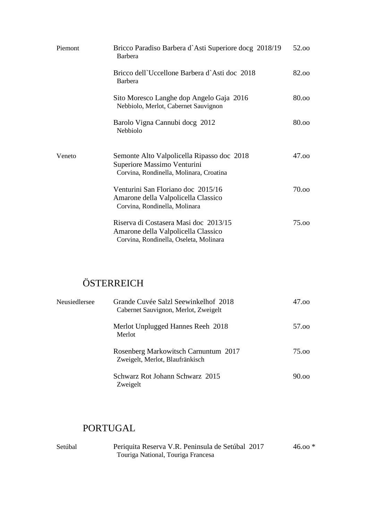| Piemont | Bricco Paradiso Barbera d'Asti Superiore docg 2018/19<br><b>Barbera</b>                                                | 52.00 |
|---------|------------------------------------------------------------------------------------------------------------------------|-------|
|         | Bricco dell'Uccellone Barbera d'Asti doc 2018<br><b>Barbera</b>                                                        | 82.00 |
|         | Sito Moresco Langhe dop Angelo Gaja 2016<br>Nebbiolo, Merlot, Cabernet Sauvignon                                       | 80.00 |
|         | Barolo Vigna Cannubi docg 2012<br>Nebbiolo                                                                             | 80.00 |
| Veneto  | Semonte Alto Valpolicella Ripasso doc 2018<br>Superiore Massimo Venturini<br>Corvina, Rondinella, Molinara, Croatina   | 47.00 |
|         | Venturini San Floriano doc 2015/16<br>Amarone della Valpolicella Classico<br>Corvina, Rondinella, Molinara             | 70.00 |
|         | Riserva di Costasera Masi doc 2013/15<br>Amarone della Valpolicella Classico<br>Corvina, Rondinella, Oseleta, Molinara | 75.00 |

### **ÖSTERREICH**

| Neusiedlersee | Grande Cuvée Salzl Seewinkelhof 2018<br>Cabernet Sauvignon, Merlot, Zweigelt | 47.00 |
|---------------|------------------------------------------------------------------------------|-------|
|               | Merlot Unplugged Hannes Reeh 2018<br>Merlot                                  | 57.00 |
|               | Rosenberg Markowitsch Carnuntum 2017<br>Zweigelt, Merlot, Blaufränkisch      | 75.00 |
|               | Schwarz Rot Johann Schwarz 2015<br>Zweigelt                                  | 90.00 |

#### PORTUGAL

| Setúbal | Periquita Reserva V.R. Peninsula de Setúbal 2017 | $46.00*$ |
|---------|--------------------------------------------------|----------|
|         | Touriga National, Touriga Francesa               |          |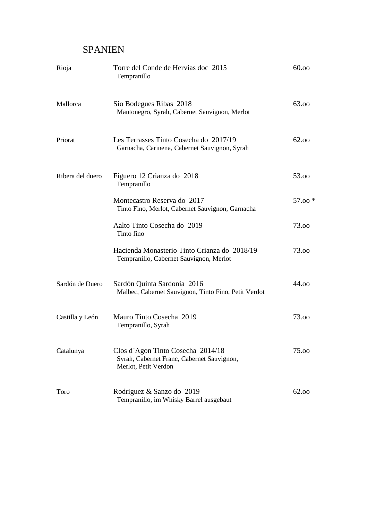#### SPANIEN

| Rioja            | Torre del Conde de Hervias doc 2015<br>Tempranillo                                                      | 60.00   |
|------------------|---------------------------------------------------------------------------------------------------------|---------|
| Mallorca         | Sio Bodegues Ribas 2018<br>Mantonegro, Syrah, Cabernet Sauvignon, Merlot                                | 63.00   |
| Priorat          | Les Terrasses Tinto Cosecha do 2017/19<br>Garnacha, Carinena, Cabernet Sauvignon, Syrah                 | 62.00   |
| Ribera del duero | Figuero 12 Crianza do 2018<br>Tempranillo                                                               | 53.00   |
|                  | Montecastro Reserva do 2017<br>Tinto Fino, Merlot, Cabernet Sauvignon, Garnacha                         | 57.00 * |
|                  | Aalto Tinto Cosecha do 2019<br>Tinto fino                                                               | 73.00   |
|                  | Hacienda Monasterio Tinto Crianza do 2018/19<br>Tempranillo, Cabernet Sauvignon, Merlot                 | 73.00   |
| Sardón de Duero  | Sardón Quinta Sardonia 2016<br>Malbec, Cabernet Sauvignon, Tinto Fino, Petit Verdot                     | 44.00   |
| Castilla y León  | Mauro Tinto Cosecha 2019<br>Tempranillo, Syrah                                                          | 73.00   |
| Catalunya        | Clos d'Agon Tinto Cosecha 2014/18<br>Syrah, Cabernet Franc, Cabernet Sauvignon,<br>Merlot, Petit Verdon | 75.00   |
| Toro             | Rodriguez & Sanzo do 2019<br>Tempranillo, im Whisky Barrel ausgebaut                                    | 62.00   |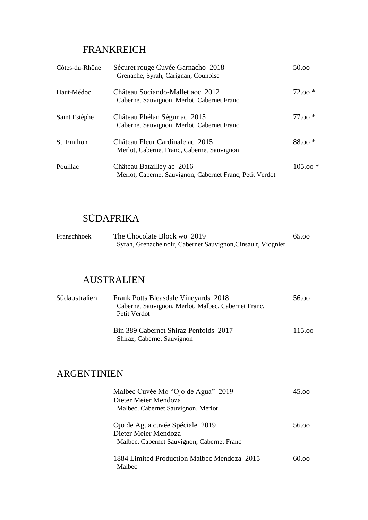### FRANKREICH

| Côtes-du-Rhône | Sécuret rouge Cuvée Garnacho 2018<br>Grenache, Syrah, Carignan, Counoise              | 50.00     |
|----------------|---------------------------------------------------------------------------------------|-----------|
| Haut-Médoc     | Château Sociando-Mallet aoc 2012<br>Cabernet Sauvignon, Merlot, Cabernet Franc        | $72.00*$  |
| Saint Estèphe  | Château Phélan Ségur ac 2015<br>Cabernet Sauvignon, Merlot, Cabernet Franc            | $77.00*$  |
| St. Emilion    | Château Fleur Cardinale ac 2015<br>Merlot, Cabernet Franc, Cabernet Sauvignon         | $88.00*$  |
| Pouillac       | Château Batailley ac 2016<br>Merlot, Cabernet Sauvignon, Cabernet Franc, Petit Verdot | $105.00*$ |

### SÜDAFRIKA

| Franschhoek | The Chocolate Block wo 2019                                  | 65.00 |
|-------------|--------------------------------------------------------------|-------|
|             | Syrah, Grenache noir, Cabernet Sauvignon, Cinsault, Viognier |       |

### AUSTRALIEN

| Südaustralien | Frank Potts Bleasdale Vineyards 2018<br>Cabernet Sauvignon, Merlot, Malbec, Cabernet Franc,<br>Petit Verdot | 56.00  |
|---------------|-------------------------------------------------------------------------------------------------------------|--------|
|               | Bin 389 Cabernet Shiraz Penfolds 2017<br>Shiraz, Cabernet Sauvignon                                         | 115.00 |

### ARGENTINIEN

| Malbec Cuvée Mo "Ojo de Agua" 2019<br>Dieter Meier Mendoza<br>Malbec, Cabernet Sauvignon, Merlot      | $45 \text{ on}$ |
|-------------------------------------------------------------------------------------------------------|-----------------|
| Ojo de Agua cuvée Spéciale 2019<br>Dieter Meier Mendoza<br>Malbec, Cabernet Sauvignon, Cabernet Franc | 56 oo           |
| 1884 Limited Production Malbec Mendoza 2015<br>Malbec                                                 |                 |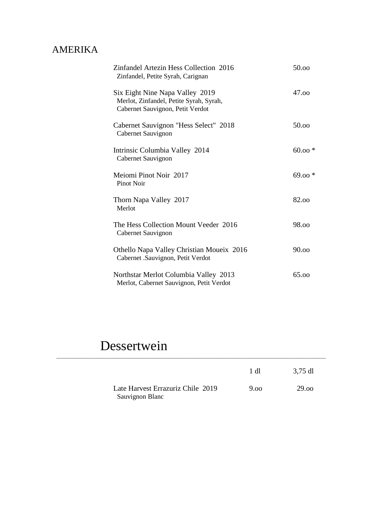### AMERIKA

| Zinfandel Artezin Hess Collection 2016<br>Zinfandel, Petite Syrah, Carignan                                    | 50.00    |
|----------------------------------------------------------------------------------------------------------------|----------|
| Six Eight Nine Napa Valley 2019<br>Merlot, Zinfandel, Petite Syrah, Syrah,<br>Cabernet Sauvignon, Petit Verdot | 47.00    |
| Cabernet Sauvignon "Hess Select" 2018<br>Cabernet Sauvignon                                                    | 50.00    |
| Intrinsic Columbia Valley 2014<br>Cabernet Sauvignon                                                           | $60.00*$ |
| Meiomi Pinot Noir 2017<br><b>Pinot Noir</b>                                                                    | $69.00*$ |
| Thorn Napa Valley 2017<br>Merlot                                                                               | 82.00    |
| The Hess Collection Mount Veeder 2016<br>Cabernet Sauvignon                                                    | 98.00    |
| Othello Napa Valley Christian Moueix 2016<br>Cabernet .Sauvignon, Petit Verdot                                 | 90.00    |
| Northstar Merlot Columbia Valley 2013<br>Merlot, Cabernet Sauvignon, Petit Verdot                              | 65.00    |

# Dessertwein

|                                                      | 1 dl | 3,75 dl |
|------------------------------------------------------|------|---------|
| Late Harvest Errazuriz Chile 2019<br>Sauvignon Blanc | 9.00 | 29.00   |

\_\_\_\_\_\_\_\_\_\_\_\_\_\_\_\_\_\_\_\_\_\_\_\_\_\_\_\_\_\_\_\_\_\_\_\_\_\_\_\_\_\_\_\_\_\_\_\_\_\_\_\_\_\_\_\_\_\_\_\_\_\_\_\_\_\_\_\_\_\_\_\_\_\_\_\_\_\_\_\_\_\_\_\_\_\_\_\_\_\_\_\_\_\_\_\_\_\_\_\_\_\_\_\_\_\_\_\_\_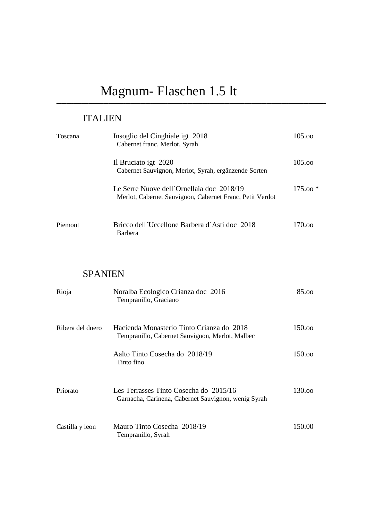# Magnum- Flaschen 1.5 lt

### ITALIEN

| Toscana | Insoglio del Cinghiale igt 2018<br>Cabernet franc, Merlot, Syrah                                      | 105.00    |
|---------|-------------------------------------------------------------------------------------------------------|-----------|
|         | Il Bruciato igt 2020<br>Cabernet Sauvignon, Merlot, Syrah, ergänzende Sorten                          | 105.00    |
|         | Le Serre Nuove dell'Ornellaia doc 2018/19<br>Merlot, Cabernet Sauvignon, Cabernet Franc, Petit Verdot | $175.00*$ |
| Piemont | Bricco dell'Uccellone Barbera d'Asti doc 2018<br><b>Barbera</b>                                       | 170.00    |

**\_\_\_\_\_\_\_\_\_\_\_\_\_\_\_\_\_\_\_\_\_\_\_\_\_\_\_\_\_\_\_\_\_\_\_\_\_\_\_\_\_\_\_\_\_\_\_\_\_\_\_\_\_\_\_\_\_\_\_\_\_\_\_\_\_\_\_\_\_\_\_\_\_\_\_\_\_\_\_\_\_\_\_\_\_\_\_\_\_\_\_\_\_\_\_\_\_\_\_\_\_\_\_\_\_\_\_\_\_**

### SPANIEN

| Rioja            | Noralba Ecologico Crianza doc 2016<br>Tempranillo, Graciano                                   | 85.00  |
|------------------|-----------------------------------------------------------------------------------------------|--------|
| Ribera del duero | Hacienda Monasterio Tinto Crianza do 2018<br>Tempranillo, Cabernet Sauvignon, Merlot, Malbec  | 150.00 |
|                  | Aalto Tinto Cosecha do 2018/19<br>Tinto fino                                                  | 150.00 |
| Priorato         | Les Terrasses Tinto Cosecha do 2015/16<br>Garnacha, Carinena, Cabernet Sauvignon, wenig Syrah | 130.00 |
| Castilla y leon  | Mauro Tinto Cosecha 2018/19<br>Tempranillo, Syrah                                             | 150.00 |